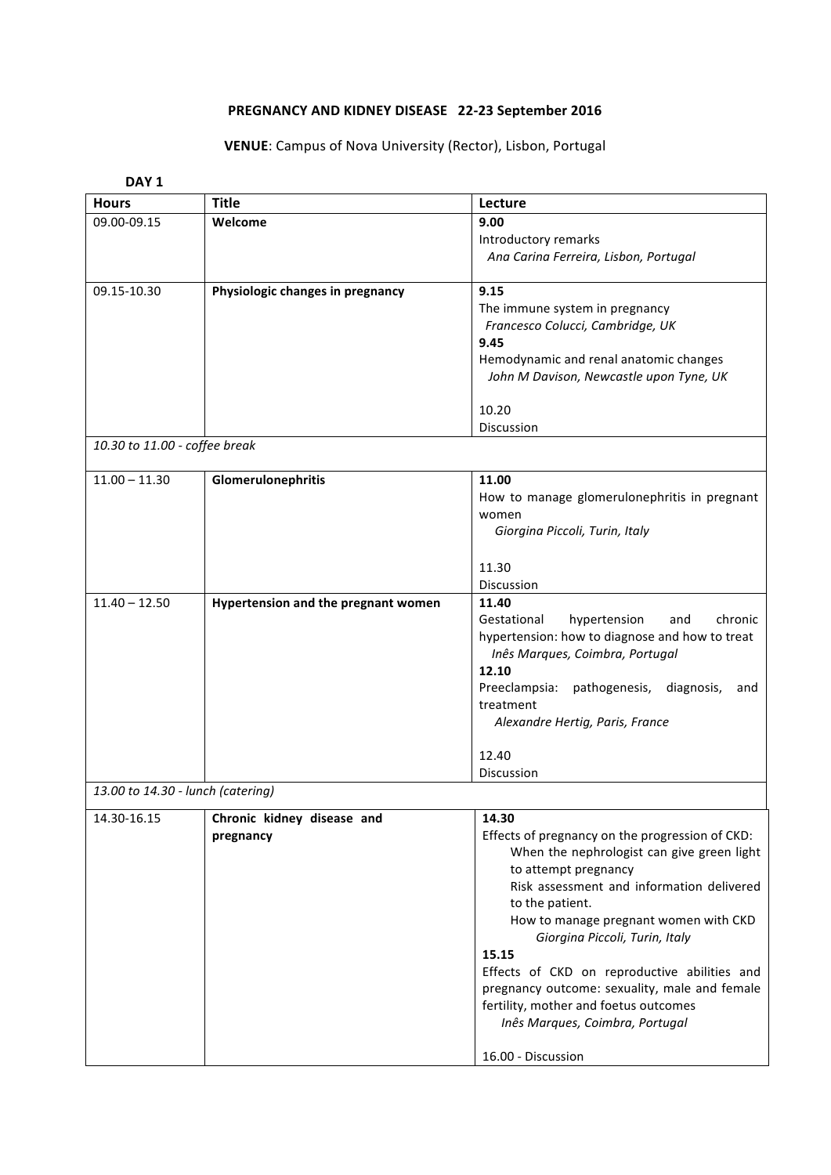## PREGNANCY AND KIDNEY DISEASE 22-23 September 2016

## **VENUE**: Campus of Nova University (Rector), Lisbon, Portugal

| DAY <sub>1</sub>                  |                                     |                                                                          |  |
|-----------------------------------|-------------------------------------|--------------------------------------------------------------------------|--|
| <b>Hours</b>                      | Title                               | Lecture                                                                  |  |
| 09.00-09.15                       | Welcome                             | 9.00                                                                     |  |
|                                   |                                     | Introductory remarks                                                     |  |
|                                   |                                     | Ana Carina Ferreira, Lisbon, Portugal                                    |  |
| 09.15-10.30                       | Physiologic changes in pregnancy    | 9.15                                                                     |  |
|                                   |                                     | The immune system in pregnancy                                           |  |
|                                   |                                     | Francesco Colucci, Cambridge, UK                                         |  |
|                                   |                                     | 9.45                                                                     |  |
|                                   |                                     | Hemodynamic and renal anatomic changes                                   |  |
|                                   |                                     | John M Davison, Newcastle upon Tyne, UK                                  |  |
|                                   |                                     | 10.20                                                                    |  |
|                                   |                                     | Discussion                                                               |  |
| 10.30 to 11.00 - coffee break     |                                     |                                                                          |  |
|                                   |                                     |                                                                          |  |
| $11.00 - 11.30$                   | Glomerulonephritis                  | 11.00                                                                    |  |
|                                   |                                     | How to manage glomerulonephritis in pregnant                             |  |
|                                   |                                     | women                                                                    |  |
|                                   |                                     | Giorgina Piccoli, Turin, Italy                                           |  |
|                                   |                                     | 11.30                                                                    |  |
|                                   |                                     | Discussion                                                               |  |
| $11.40 - 12.50$                   | Hypertension and the pregnant women | 11.40                                                                    |  |
|                                   |                                     | Gestational<br>hypertension<br>chronic<br>and                            |  |
|                                   |                                     | hypertension: how to diagnose and how to treat                           |  |
|                                   |                                     | Inês Marques, Coimbra, Portugal                                          |  |
|                                   |                                     | 12.10                                                                    |  |
|                                   |                                     | Preeclampsia:<br>pathogenesis, diagnosis,<br>and                         |  |
|                                   |                                     | treatment                                                                |  |
|                                   |                                     | Alexandre Hertig, Paris, France                                          |  |
|                                   |                                     | 12.40                                                                    |  |
|                                   |                                     | Discussion                                                               |  |
| 13.00 to 14.30 - lunch (catering) |                                     |                                                                          |  |
| 14.30-16.15                       | Chronic kidney disease and          | 14.30                                                                    |  |
|                                   | pregnancy                           | Effects of pregnancy on the progression of CKD:                          |  |
|                                   |                                     | When the nephrologist can give green light                               |  |
|                                   |                                     | to attempt pregnancy                                                     |  |
|                                   |                                     | Risk assessment and information delivered                                |  |
|                                   |                                     | to the patient.                                                          |  |
|                                   |                                     | How to manage pregnant women with CKD<br>Giorgina Piccoli, Turin, Italy  |  |
|                                   |                                     | 15.15                                                                    |  |
|                                   |                                     | Effects of CKD on reproductive abilities and                             |  |
|                                   |                                     | pregnancy outcome: sexuality, male and female                            |  |
|                                   |                                     | fertility, mother and foetus outcomes<br>Inês Marques, Coimbra, Portugal |  |
|                                   |                                     |                                                                          |  |
|                                   |                                     | 16.00 - Discussion                                                       |  |